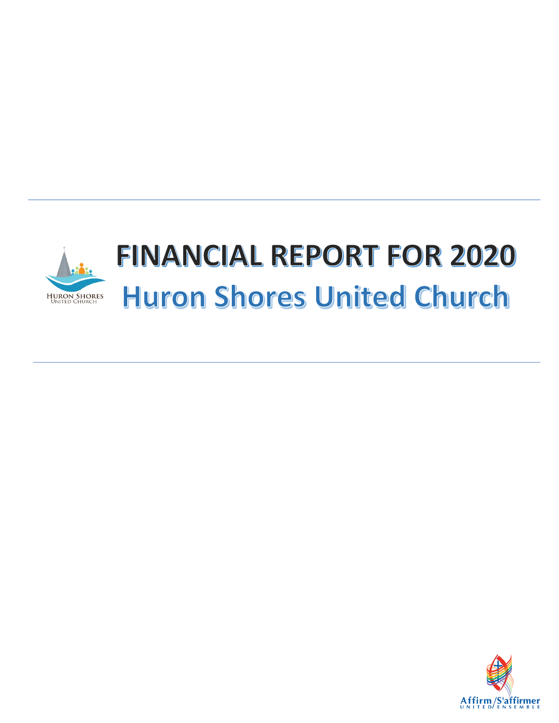

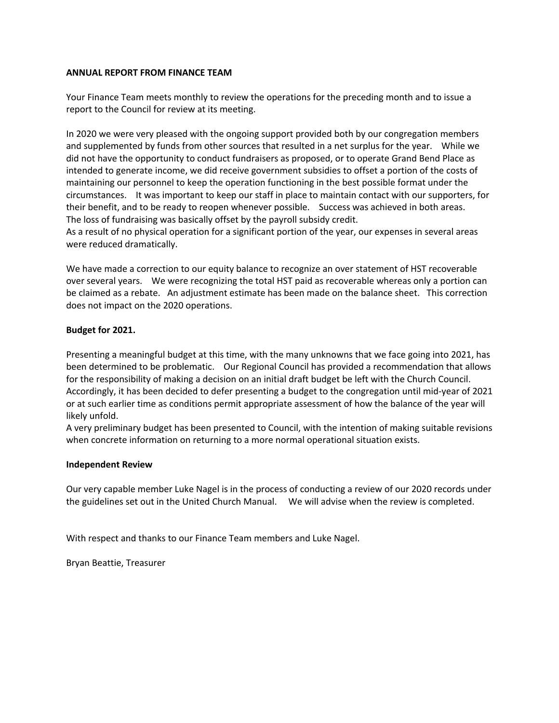## **ANNUAL REPORT FROM FINANCE TEAM**

Your Finance Team meets monthly to review the operations for the preceding month and to issue a report to the Council for review at its meeting.

In 2020 we were very pleased with the ongoing support provided both by our congregation members and supplemented by funds from other sources that resulted in a net surplus for the year. While we did not have the opportunity to conduct fundraisers as proposed, or to operate Grand Bend Place as intended to generate income, we did receive government subsidies to offset a portion of the costs of maintaining our personnel to keep the operation functioning in the best possible format under the circumstances. It was important to keep our staff in place to maintain contact with our supporters, for their benefit, and to be ready to reopen whenever possible. Success was achieved in both areas. The loss of fundraising was basically offset by the payroll subsidy credit.

As a result of no physical operation for a significant portion of the year, our expenses in several areas were reduced dramatically.

We have made a correction to our equity balance to recognize an over statement of HST recoverable over several years. We were recognizing the total HST paid as recoverable whereas only a portion can be claimed as a rebate. An adjustment estimate has been made on the balance sheet. This correction does not impact on the 2020 operations.

## **Budget for 2021.**

Presenting a meaningful budget at this time, with the many unknowns that we face going into 2021, has been determined to be problematic. Our Regional Council has provided a recommendation that allows for the responsibility of making a decision on an initial draft budget be left with the Church Council. Accordingly, it has been decided to defer presenting a budget to the congregation until mid-year of 2021 or at such earlier time as conditions permit appropriate assessment of how the balance of the year will likely unfold.

A very preliminary budget has been presented to Council, with the intention of making suitable revisions when concrete information on returning to a more normal operational situation exists.

#### **Independent Review**

Our very capable member Luke Nagel is in the process of conducting a review of our 2020 records under the guidelines set out in the United Church Manual. We will advise when the review is completed.

With respect and thanks to our Finance Team members and Luke Nagel.

Bryan Beattie, Treasurer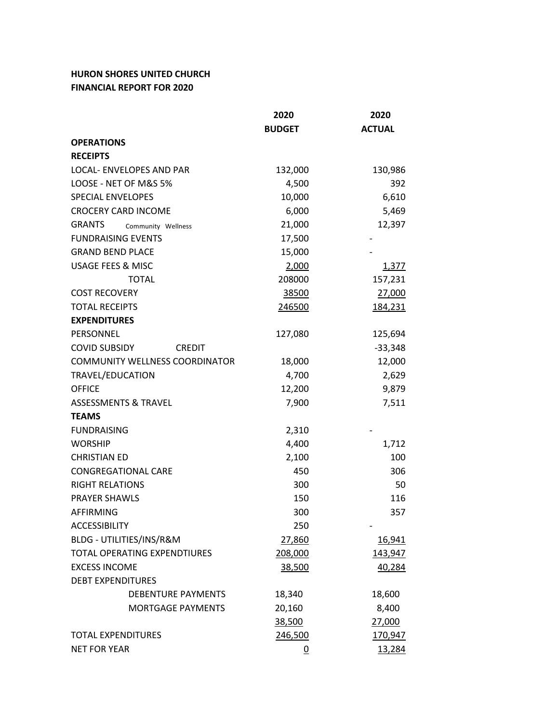## **HURON SHORES UNITED CHURCH FINANCIAL REPORT FOR 2020**

|                                       | 2020          | 2020          |
|---------------------------------------|---------------|---------------|
|                                       | <b>BUDGET</b> | <b>ACTUAL</b> |
| <b>OPERATIONS</b>                     |               |               |
| <b>RECEIPTS</b>                       |               |               |
| LOCAL- ENVELOPES AND PAR              | 132,000       | 130,986       |
| LOOSE - NET OF M&S 5%                 | 4,500         | 392           |
| <b>SPECIAL ENVELOPES</b>              | 10,000        | 6,610         |
| <b>CROCERY CARD INCOME</b>            | 6,000         | 5,469         |
| <b>GRANTS</b><br>Community Wellness   | 21,000        | 12,397        |
| <b>FUNDRAISING EVENTS</b>             | 17,500        |               |
| <b>GRAND BEND PLACE</b>               | 15,000        |               |
| <b>USAGE FEES &amp; MISC</b>          | 2,000         | 1,377         |
| <b>TOTAL</b>                          | 208000        | 157,231       |
| <b>COST RECOVERY</b>                  | 38500         | 27,000        |
| <b>TOTAL RECEIPTS</b>                 | 246500        | 184,231       |
| <b>EXPENDITURES</b>                   |               |               |
| PERSONNEL                             | 127,080       | 125,694       |
| <b>COVID SUBSIDY</b><br><b>CREDIT</b> |               | $-33,348$     |
| COMMUNITY WELLNESS COORDINATOR        | 18,000        | 12,000        |
| TRAVEL/EDUCATION                      | 4,700         | 2,629         |
| <b>OFFICE</b>                         | 12,200        | 9,879         |
| <b>ASSESSMENTS &amp; TRAVEL</b>       | 7,900         | 7,511         |
| <b>TEAMS</b>                          |               |               |
| <b>FUNDRAISING</b>                    | 2,310         |               |
| <b>WORSHIP</b>                        | 4,400         | 1,712         |
| <b>CHRISTIAN ED</b>                   | 2,100         | 100           |
| <b>CONGREGATIONAL CARE</b>            | 450           | 306           |
| <b>RIGHT RELATIONS</b>                | 300           | 50            |
| <b>PRAYER SHAWLS</b>                  | 150           | 116           |
| <b>AFFIRMING</b>                      | 300           | 357           |
| <b>ACCESSIBILITY</b>                  | 250           |               |
| BLDG - UTILITIES/INS/R&M              | 27,860        | 16,941        |
| <b>TOTAL OPERATING EXPENDTIURES</b>   | 208,000       | 143,947       |
| <b>EXCESS INCOME</b>                  | 38,500        | 40,284        |
| <b>DEBT EXPENDITURES</b>              |               |               |
| <b>DEBENTURE PAYMENTS</b>             | 18,340        | 18,600        |
| <b>MORTGAGE PAYMENTS</b>              | 20,160        | 8,400         |
|                                       | 38,500        | 27,000        |
| <b>TOTAL EXPENDITURES</b>             | 246,500       | 170,947       |
| <b>NET FOR YEAR</b>                   | 0             | 13,284        |